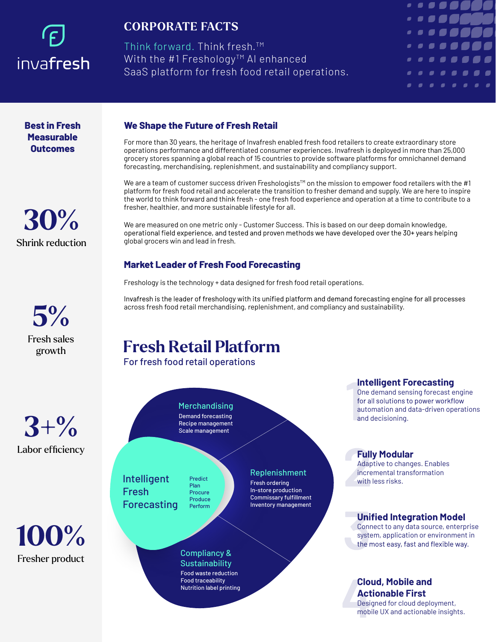# invafresh

### **CORPORATE FACTS**

Think forward. Think fresh. TM With the  $#1$  Freshology<sup>TM</sup> AI enhanced SaaS platform for fresh food retail operations.



**Best in Fresh Measurable Outcomes**





**3+%** Labor efficiency



#### **We Shape the Future of Fresh Retail**

For more than 30 years, the heritage of Invafresh enabled fresh food retailers to create extraordinary store operations performance and differentiated consumer experiences. Invafresh is deployed in more than 25,000 grocery stores spanning a global reach of 15 countries to provide software platforms for omnichannel demand forecasting, merchandising, replenishment, and sustainability and compliancy support.

We are a team of customer success driven Freshologists<sup>TM</sup> on the mission to empower food retailers with the #1 platform for fresh food retail and accelerate the transition to fresher demand and supply. We are here to inspire the world to think forward and think fresh - one fresh food experience and operation at a time to contribute to a fresher, healthier, and more sustainable lifestyle for all.

We are measured on one metric only - Customer Success. This is based on our deep domain knowledge, operational field experience, and tested and proven methods we have developed over the 30+ years helping global grocers win and lead in fresh.

#### **Market Leader of Fresh Food Forecasting**

Freshology is the technology + data designed for fresh food retail operations.

Invafresh is the leader of freshology with its unified platform and demand forecasting engine for all processes across fresh food retail merchandising, replenishment, and compliancy and sustainability.

> Replenishment Fresh ordering In-store production Commissary fulfillment Inventory management

## **Fresh Retail Platform**

For fresh food retail operations

**Merchandising** Demand forecasting Recipe management Scale management

Intelligent Fresh Forecasting

Predict Plan Procure Produce Perform

Compliancy & **Sustainability** Food waste reduction Food traceability Nutrition label printing

for all solutions to power workflow automation and data-driven operations and decisioning.

**Intelligent Forecasting** One demand sensing forecast engine

#### **Fully Modular**

Adaptive to changes. Enables incremental transformation with less risks.

#### **Unified Integration Model**

Connect to any data source, enterprise system, application or environment in the most easy, fast and flexible way.

#### **Cloud, Mobile and Actionable First**

Designed for cloud deployment, mobile UX and actionable insights.